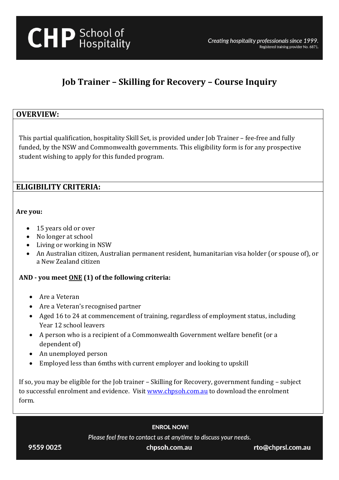# **Job Trainer – Skilling for Recovery – Course Inquiry**

## **OVERVIEW:**

This partial qualification, hospitality Skill Set, is provided under Job Trainer – fee-free and fully funded, by the NSW and Commonwealth governments. This eligibility form is for any prospective student wishing to apply for this funded program.

# **ELIGIBILITY CRITERIA:**

### **Are you:**

- 15 years old or over
- No longer at school
- Living or working in NSW
- An Australian citizen, Australian permanent resident, humanitarian visa holder (or spouse of), or a New Zealand citizen

## **AND - you meet ONE (1) of the following criteria:**

- Are a Veteran
- Are a Veteran's recognised partner
- Aged 16 to 24 at commencement of training, regardless of employment status, including Year 12 school leavers
- A person who is a recipient of a Commonwealth Government welfare benefit (or a dependent of)
- An unemployed person
- Employed less than 6mths with current employer and looking to upskill

If so, you may be eligible for the Job trainer – Skilling for Recovery, government funding – subject to successful enrolment and evidence. Visi[t www.chpsoh.com.au](http://www.chpsoh.com.au/) to download the enrolment form.

**ENROL NOW!** 

Please feel free to contact us at anytime to discuss your needs.

chpsoh.com.au

rto@chprsl.com.au